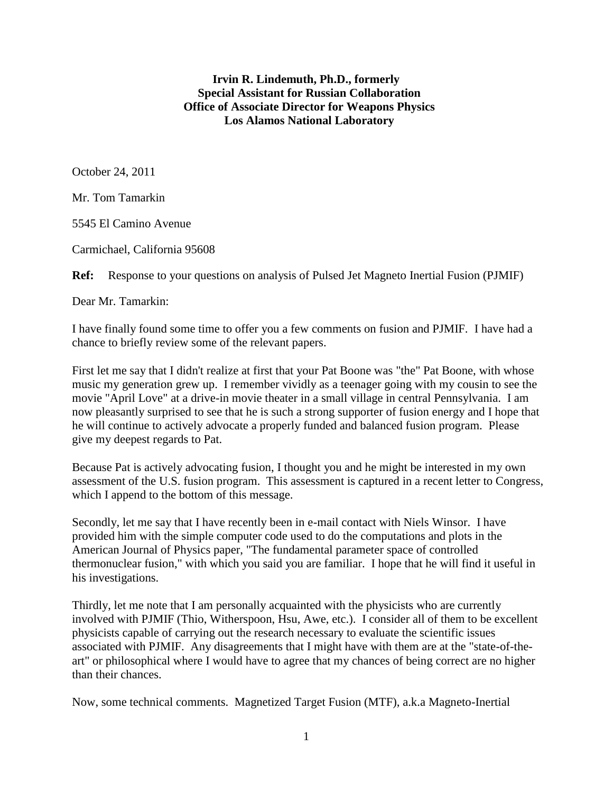#### **Irvin R. Lindemuth, Ph.D., formerly Special Assistant for Russian Collaboration Office of Associate Director for Weapons Physics Los Alamos National Laboratory**

October 24, 2011

Mr. Tom Tamarkin

5545 El Camino Avenue

Carmichael, California 95608

**Ref:** Response to your questions on analysis of Pulsed Jet Magneto Inertial Fusion (PJMIF)

Dear Mr. Tamarkin:

I have finally found some time to offer you a few comments on fusion and PJMIF. I have had a chance to briefly review some of the relevant papers.

First let me say that I didn't realize at first that your Pat Boone was "the" Pat Boone, with whose music my generation grew up. I remember vividly as a teenager going with my cousin to see the movie "April Love" at a drive-in movie theater in a small village in central Pennsylvania. I am now pleasantly surprised to see that he is such a strong supporter of fusion energy and I hope that he will continue to actively advocate a properly funded and balanced fusion program. Please give my deepest regards to Pat.

Because Pat is actively advocating fusion, I thought you and he might be interested in my own assessment of the U.S. fusion program. This assessment is captured in a recent letter to Congress, which I append to the bottom of this message.

Secondly, let me say that I have recently been in e-mail contact with Niels Winsor. I have provided him with the simple computer code used to do the computations and plots in the American Journal of Physics paper, "The fundamental parameter space of controlled thermonuclear fusion," with which you said you are familiar. I hope that he will find it useful in his investigations.

Thirdly, let me note that I am personally acquainted with the physicists who are currently involved with PJMIF (Thio, Witherspoon, Hsu, Awe, etc.). I consider all of them to be excellent physicists capable of carrying out the research necessary to evaluate the scientific issues associated with PJMIF. Any disagreements that I might have with them are at the "state-of-theart" or philosophical where I would have to agree that my chances of being correct are no higher than their chances.

Now, some technical comments. Magnetized Target Fusion (MTF), a.k.a Magneto-Inertial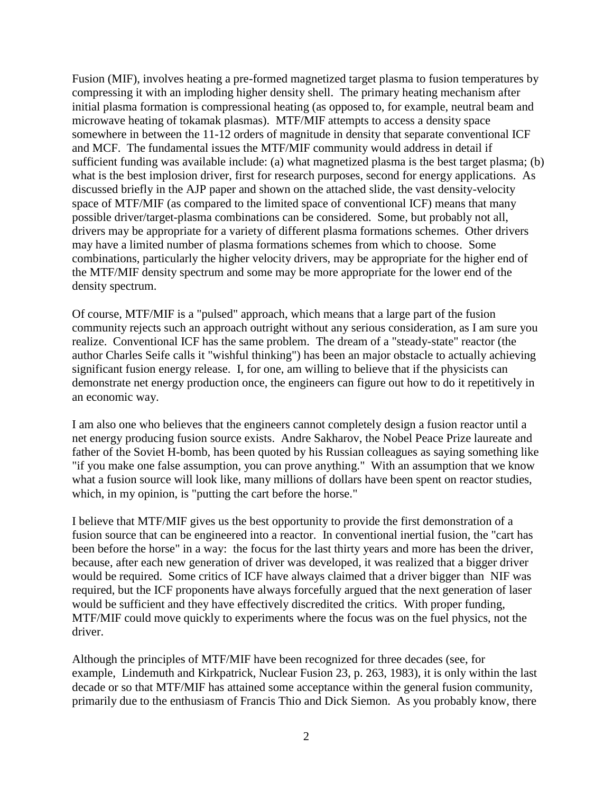Fusion (MIF), involves heating a pre-formed magnetized target plasma to fusion temperatures by compressing it with an imploding higher density shell. The primary heating mechanism after initial plasma formation is compressional heating (as opposed to, for example, neutral beam and microwave heating of tokamak plasmas). MTF/MIF attempts to access a density space somewhere in between the 11-12 orders of magnitude in density that separate conventional ICF and MCF. The fundamental issues the MTF/MIF community would address in detail if sufficient funding was available include: (a) what magnetized plasma is the best target plasma; (b) what is the best implosion driver, first for research purposes, second for energy applications. As discussed briefly in the AJP paper and shown on the attached slide, the vast density-velocity space of MTF/MIF (as compared to the limited space of conventional ICF) means that many possible driver/target-plasma combinations can be considered. Some, but probably not all, drivers may be appropriate for a variety of different plasma formations schemes. Other drivers may have a limited number of plasma formations schemes from which to choose. Some combinations, particularly the higher velocity drivers, may be appropriate for the higher end of the MTF/MIF density spectrum and some may be more appropriate for the lower end of the density spectrum.

Of course, MTF/MIF is a "pulsed" approach, which means that a large part of the fusion community rejects such an approach outright without any serious consideration, as I am sure you realize. Conventional ICF has the same problem. The dream of a "steady-state" reactor (the author Charles Seife calls it "wishful thinking") has been an major obstacle to actually achieving significant fusion energy release. I, for one, am willing to believe that if the physicists can demonstrate net energy production once, the engineers can figure out how to do it repetitively in an economic way.

I am also one who believes that the engineers cannot completely design a fusion reactor until a net energy producing fusion source exists. Andre Sakharov, the Nobel Peace Prize laureate and father of the Soviet H-bomb, has been quoted by his Russian colleagues as saying something like "if you make one false assumption, you can prove anything." With an assumption that we know what a fusion source will look like, many millions of dollars have been spent on reactor studies, which, in my opinion, is "putting the cart before the horse."

I believe that MTF/MIF gives us the best opportunity to provide the first demonstration of a fusion source that can be engineered into a reactor. In conventional inertial fusion, the "cart has been before the horse" in a way: the focus for the last thirty years and more has been the driver, because, after each new generation of driver was developed, it was realized that a bigger driver would be required. Some critics of ICF have always claimed that a driver bigger than NIF was required, but the ICF proponents have always forcefully argued that the next generation of laser would be sufficient and they have effectively discredited the critics. With proper funding, MTF/MIF could move quickly to experiments where the focus was on the fuel physics, not the driver.

Although the principles of MTF/MIF have been recognized for three decades (see, for example, Lindemuth and Kirkpatrick, Nuclear Fusion 23, p. 263, 1983), it is only within the last decade or so that MTF/MIF has attained some acceptance within the general fusion community, primarily due to the enthusiasm of Francis Thio and Dick Siemon. As you probably know, there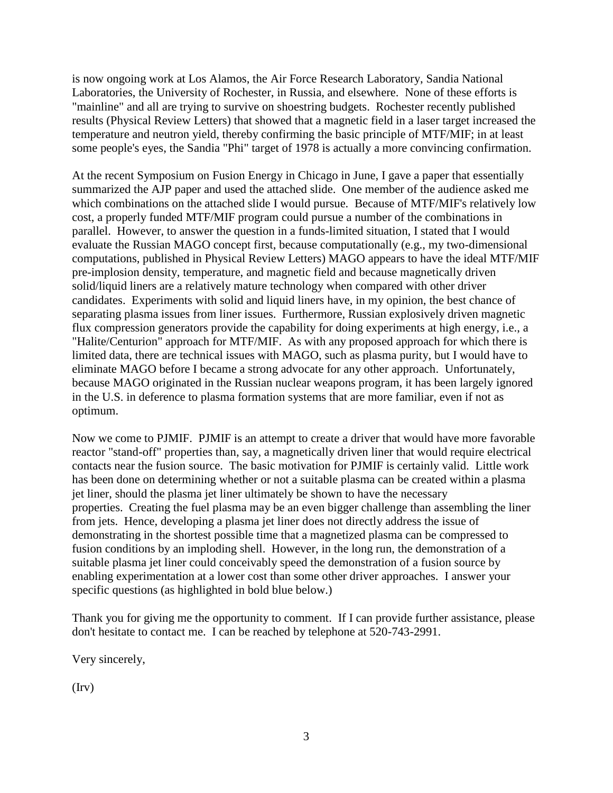is now ongoing work at Los Alamos, the Air Force Research Laboratory, Sandia National Laboratories, the University of Rochester, in Russia, and elsewhere. None of these efforts is "mainline" and all are trying to survive on shoestring budgets. Rochester recently published results (Physical Review Letters) that showed that a magnetic field in a laser target increased the temperature and neutron yield, thereby confirming the basic principle of MTF/MIF; in at least some people's eyes, the Sandia "Phi" target of 1978 is actually a more convincing confirmation.

At the recent Symposium on Fusion Energy in Chicago in June, I gave a paper that essentially summarized the AJP paper and used the attached slide. One member of the audience asked me which combinations on the attached slide I would pursue. Because of MTF/MIF's relatively low cost, a properly funded MTF/MIF program could pursue a number of the combinations in parallel. However, to answer the question in a funds-limited situation, I stated that I would evaluate the Russian MAGO concept first, because computationally (e.g., my two-dimensional computations, published in Physical Review Letters) MAGO appears to have the ideal MTF/MIF pre-implosion density, temperature, and magnetic field and because magnetically driven solid/liquid liners are a relatively mature technology when compared with other driver candidates. Experiments with solid and liquid liners have, in my opinion, the best chance of separating plasma issues from liner issues. Furthermore, Russian explosively driven magnetic flux compression generators provide the capability for doing experiments at high energy, i.e., a "Halite/Centurion" approach for MTF/MIF. As with any proposed approach for which there is limited data, there are technical issues with MAGO, such as plasma purity, but I would have to eliminate MAGO before I became a strong advocate for any other approach. Unfortunately, because MAGO originated in the Russian nuclear weapons program, it has been largely ignored in the U.S. in deference to plasma formation systems that are more familiar, even if not as optimum.

Now we come to PJMIF. PJMIF is an attempt to create a driver that would have more favorable reactor "stand-off" properties than, say, a magnetically driven liner that would require electrical contacts near the fusion source. The basic motivation for PJMIF is certainly valid. Little work has been done on determining whether or not a suitable plasma can be created within a plasma jet liner, should the plasma jet liner ultimately be shown to have the necessary properties. Creating the fuel plasma may be an even bigger challenge than assembling the liner from jets. Hence, developing a plasma jet liner does not directly address the issue of demonstrating in the shortest possible time that a magnetized plasma can be compressed to fusion conditions by an imploding shell. However, in the long run, the demonstration of a suitable plasma jet liner could conceivably speed the demonstration of a fusion source by enabling experimentation at a lower cost than some other driver approaches. I answer your specific questions (as highlighted in bold blue below.)

Thank you for giving me the opportunity to comment. If I can provide further assistance, please don't hesitate to contact me. I can be reached by telephone at 520-743-2991.

Very sincerely,

(Irv)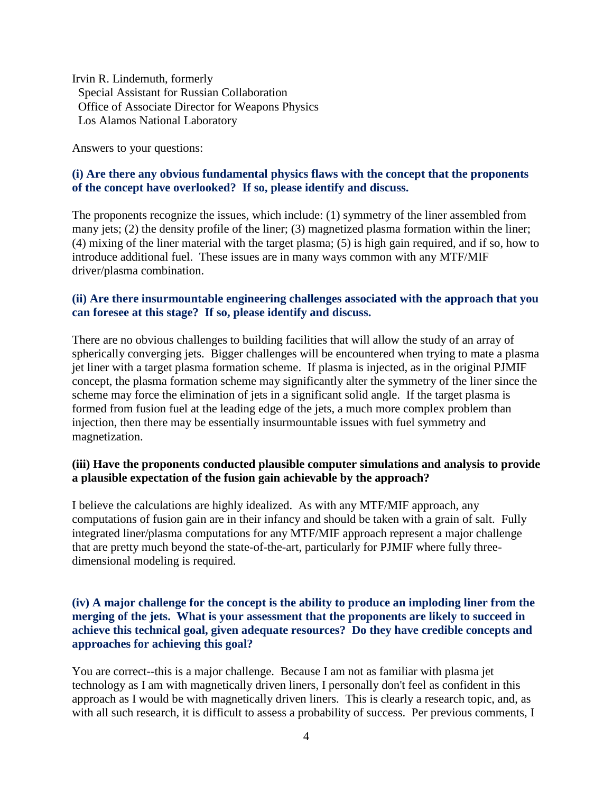Irvin R. Lindemuth, formerly Special Assistant for Russian Collaboration Office of Associate Director for Weapons Physics Los Alamos National Laboratory

Answers to your questions:

## **(i) Are there any obvious fundamental physics flaws with the concept that the proponents of the concept have overlooked? If so, please identify and discuss.**

The proponents recognize the issues, which include: (1) symmetry of the liner assembled from many jets; (2) the density profile of the liner; (3) magnetized plasma formation within the liner; (4) mixing of the liner material with the target plasma; (5) is high gain required, and if so, how to introduce additional fuel. These issues are in many ways common with any MTF/MIF driver/plasma combination.

#### **(ii) Are there insurmountable engineering challenges associated with the approach that you can foresee at this stage? If so, please identify and discuss.**

There are no obvious challenges to building facilities that will allow the study of an array of spherically converging jets. Bigger challenges will be encountered when trying to mate a plasma jet liner with a target plasma formation scheme. If plasma is injected, as in the original PJMIF concept, the plasma formation scheme may significantly alter the symmetry of the liner since the scheme may force the elimination of jets in a significant solid angle. If the target plasma is formed from fusion fuel at the leading edge of the jets, a much more complex problem than injection, then there may be essentially insurmountable issues with fuel symmetry and magnetization.

#### **(iii) Have the proponents conducted plausible computer simulations and analysis to provide a plausible expectation of the fusion gain achievable by the approach?**

I believe the calculations are highly idealized. As with any MTF/MIF approach, any computations of fusion gain are in their infancy and should be taken with a grain of salt. Fully integrated liner/plasma computations for any MTF/MIF approach represent a major challenge that are pretty much beyond the state-of-the-art, particularly for PJMIF where fully threedimensional modeling is required.

### **(iv) A major challenge for the concept is the ability to produce an imploding liner from the merging of the jets. What is your assessment that the proponents are likely to succeed in achieve this technical goal, given adequate resources? Do they have credible concepts and approaches for achieving this goal?**

You are correct--this is a major challenge. Because I am not as familiar with plasma jet technology as I am with magnetically driven liners, I personally don't feel as confident in this approach as I would be with magnetically driven liners. This is clearly a research topic, and, as with all such research, it is difficult to assess a probability of success. Per previous comments, I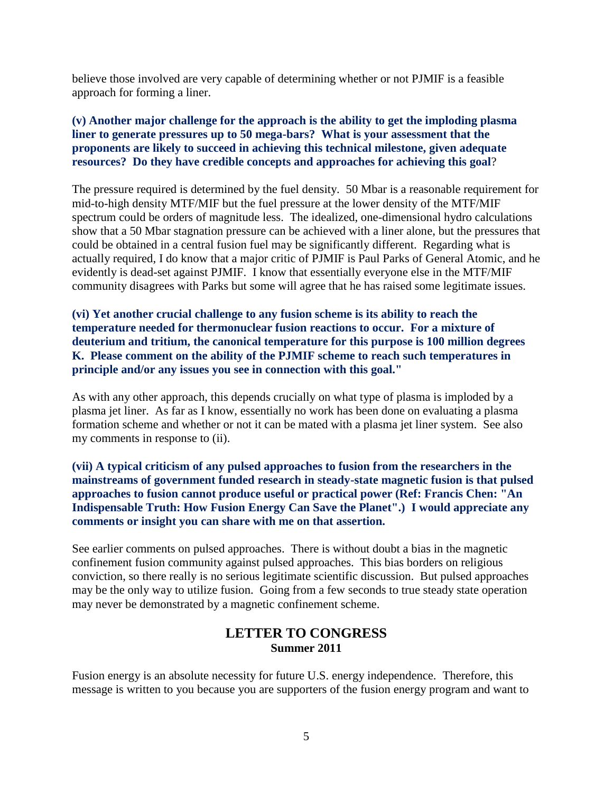believe those involved are very capable of determining whether or not PJMIF is a feasible approach for forming a liner.

### **(v) Another major challenge for the approach is the ability to get the imploding plasma liner to generate pressures up to 50 mega-bars? What is your assessment that the proponents are likely to succeed in achieving this technical milestone, given adequate resources? Do they have credible concepts and approaches for achieving this goal**?

The pressure required is determined by the fuel density. 50 Mbar is a reasonable requirement for mid-to-high density MTF/MIF but the fuel pressure at the lower density of the MTF/MIF spectrum could be orders of magnitude less. The idealized, one-dimensional hydro calculations show that a 50 Mbar stagnation pressure can be achieved with a liner alone, but the pressures that could be obtained in a central fusion fuel may be significantly different. Regarding what is actually required, I do know that a major critic of PJMIF is Paul Parks of General Atomic, and he evidently is dead-set against PJMIF. I know that essentially everyone else in the MTF/MIF community disagrees with Parks but some will agree that he has raised some legitimate issues.

**(vi) Yet another crucial challenge to any fusion scheme is its ability to reach the temperature needed for thermonuclear fusion reactions to occur. For a mixture of deuterium and tritium, the canonical temperature for this purpose is 100 million degrees K. Please comment on the ability of the PJMIF scheme to reach such temperatures in principle and/or any issues you see in connection with this goal."**

As with any other approach, this depends crucially on what type of plasma is imploded by a plasma jet liner. As far as I know, essentially no work has been done on evaluating a plasma formation scheme and whether or not it can be mated with a plasma jet liner system. See also my comments in response to (ii).

**(vii) A typical criticism of any pulsed approaches to fusion from the researchers in the mainstreams of government funded research in steady-state magnetic fusion is that pulsed approaches to fusion cannot produce useful or practical power (Ref: Francis Chen: "An Indispensable Truth: How Fusion Energy Can Save the Planet".) I would appreciate any comments or insight you can share with me on that assertion.**

See earlier comments on pulsed approaches. There is without doubt a bias in the magnetic confinement fusion community against pulsed approaches. This bias borders on religious conviction, so there really is no serious legitimate scientific discussion. But pulsed approaches may be the only way to utilize fusion. Going from a few seconds to true steady state operation may never be demonstrated by a magnetic confinement scheme.

# **LETTER TO CONGRESS Summer 2011**

Fusion energy is an absolute necessity for future U.S. energy independence. Therefore, this message is written to you because you are supporters of the fusion energy program and want to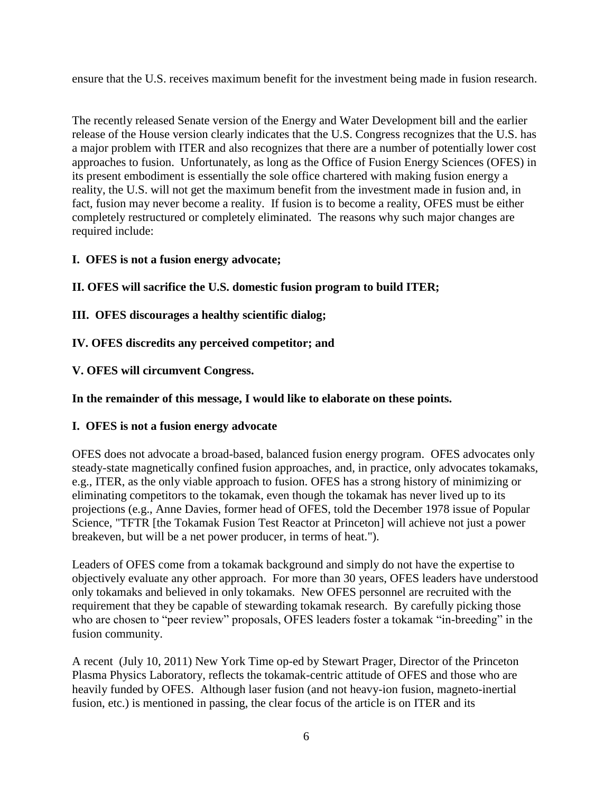ensure that the U.S. receives maximum benefit for the investment being made in fusion research.

The recently released Senate version of the Energy and Water Development bill and the earlier release of the House version clearly indicates that the U.S. Congress recognizes that the U.S. has a major problem with ITER and also recognizes that there are a number of potentially lower cost approaches to fusion. Unfortunately, as long as the Office of Fusion Energy Sciences (OFES) in its present embodiment is essentially the sole office chartered with making fusion energy a reality, the U.S. will not get the maximum benefit from the investment made in fusion and, in fact, fusion may never become a reality. If fusion is to become a reality, OFES must be either completely restructured or completely eliminated. The reasons why such major changes are required include:

# **I. OFES is not a fusion energy advocate;**

**II. OFES will sacrifice the U.S. domestic fusion program to build ITER;**

**III. OFES discourages a healthy scientific dialog;**

# **IV. OFES discredits any perceived competitor; and**

**V. OFES will circumvent Congress.**

**In the remainder of this message, I would like to elaborate on these points.**

## **I. OFES is not a fusion energy advocate**

OFES does not advocate a broad-based, balanced fusion energy program. OFES advocates only steady-state magnetically confined fusion approaches, and, in practice, only advocates tokamaks, e.g., ITER, as the only viable approach to fusion. OFES has a strong history of minimizing or eliminating competitors to the tokamak, even though the tokamak has never lived up to its projections (e.g., Anne Davies, former head of OFES, told the December 1978 issue of Popular Science, "TFTR [the Tokamak Fusion Test Reactor at Princeton] will achieve not just a power breakeven, but will be a net power producer, in terms of heat.").

Leaders of OFES come from a tokamak background and simply do not have the expertise to objectively evaluate any other approach. For more than 30 years, OFES leaders have understood only tokamaks and believed in only tokamaks. New OFES personnel are recruited with the requirement that they be capable of stewarding tokamak research. By carefully picking those who are chosen to "peer review" proposals, OFES leaders foster a tokamak "in-breeding" in the fusion community.

A recent (July 10, 2011) New York Time op-ed by Stewart Prager, Director of the Princeton Plasma Physics Laboratory, reflects the tokamak-centric attitude of OFES and those who are heavily funded by OFES. Although laser fusion (and not heavy-ion fusion, magneto-inertial fusion, etc.) is mentioned in passing, the clear focus of the article is on ITER and its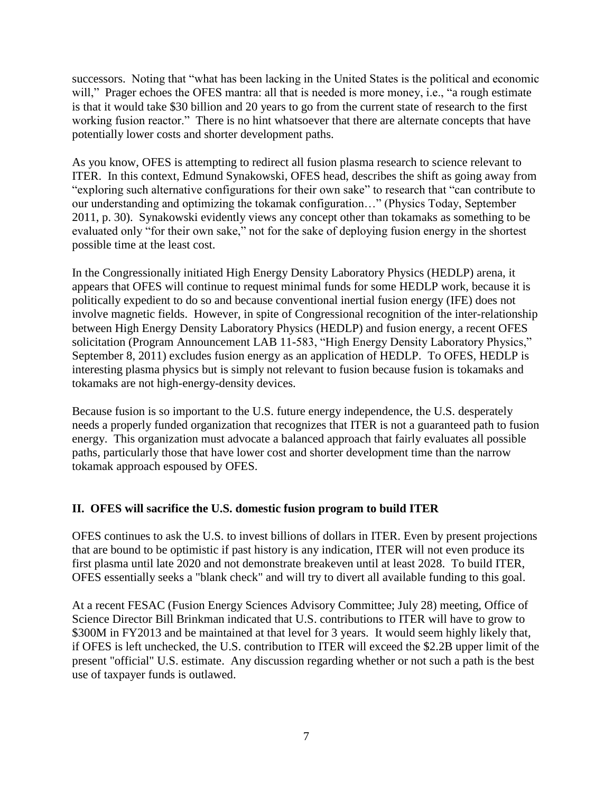successors. Noting that "what has been lacking in the United States is the political and economic will," Prager echoes the OFES mantra: all that is needed is more money, i.e., "a rough estimate is that it would take \$30 billion and 20 years to go from the current state of research to the first working fusion reactor." There is no hint whatsoever that there are alternate concepts that have potentially lower costs and shorter development paths.

As you know, OFES is attempting to redirect all fusion plasma research to science relevant to ITER. In this context, Edmund Synakowski, OFES head, describes the shift as going away from "exploring such alternative configurations for their own sake" to research that "can contribute to our understanding and optimizing the tokamak configuration…" (Physics Today, September 2011, p. 30). Synakowski evidently views any concept other than tokamaks as something to be evaluated only "for their own sake," not for the sake of deploying fusion energy in the shortest possible time at the least cost.

In the Congressionally initiated High Energy Density Laboratory Physics (HEDLP) arena, it appears that OFES will continue to request minimal funds for some HEDLP work, because it is politically expedient to do so and because conventional inertial fusion energy (IFE) does not involve magnetic fields. However, in spite of Congressional recognition of the inter-relationship between High Energy Density Laboratory Physics (HEDLP) and fusion energy, a recent OFES solicitation (Program Announcement LAB 11-583, "High Energy Density Laboratory Physics," September 8, 2011) excludes fusion energy as an application of HEDLP. To OFES, HEDLP is interesting plasma physics but is simply not relevant to fusion because fusion is tokamaks and tokamaks are not high-energy-density devices.

Because fusion is so important to the U.S. future energy independence, the U.S. desperately needs a properly funded organization that recognizes that ITER is not a guaranteed path to fusion energy. This organization must advocate a balanced approach that fairly evaluates all possible paths, particularly those that have lower cost and shorter development time than the narrow tokamak approach espoused by OFES.

## **II. OFES will sacrifice the U.S. domestic fusion program to build ITER**

OFES continues to ask the U.S. to invest billions of dollars in ITER. Even by present projections that are bound to be optimistic if past history is any indication, ITER will not even produce its first plasma until late 2020 and not demonstrate breakeven until at least 2028. To build ITER, OFES essentially seeks a "blank check" and will try to divert all available funding to this goal.

At a recent FESAC (Fusion Energy Sciences Advisory Committee; July 28) meeting, Office of Science Director Bill Brinkman indicated that U.S. contributions to ITER will have to grow to \$300M in FY2013 and be maintained at that level for 3 years. It would seem highly likely that, if OFES is left unchecked, the U.S. contribution to ITER will exceed the \$2.2B upper limit of the present "official" U.S. estimate. Any discussion regarding whether or not such a path is the best use of taxpayer funds is outlawed.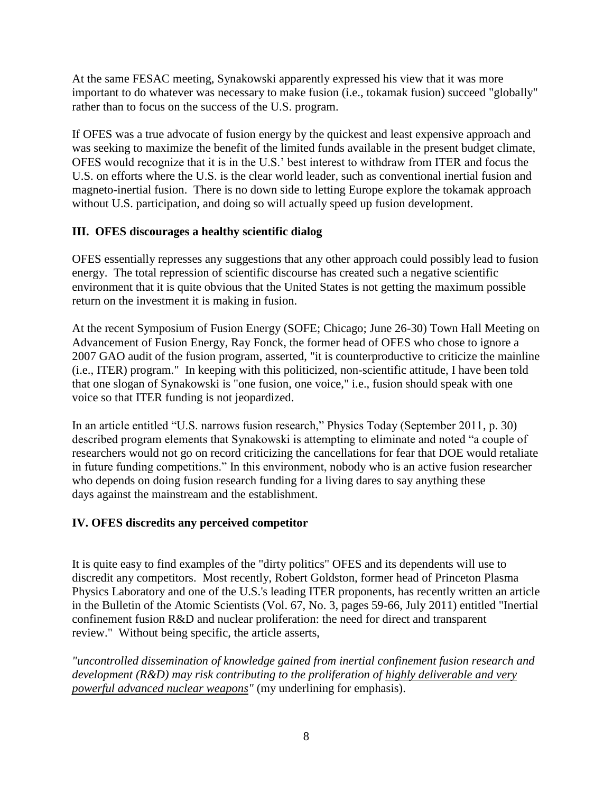At the same FESAC meeting, Synakowski apparently expressed his view that it was more important to do whatever was necessary to make fusion (i.e., tokamak fusion) succeed "globally" rather than to focus on the success of the U.S. program.

If OFES was a true advocate of fusion energy by the quickest and least expensive approach and was seeking to maximize the benefit of the limited funds available in the present budget climate, OFES would recognize that it is in the U.S.' best interest to withdraw from ITER and focus the U.S. on efforts where the U.S. is the clear world leader, such as conventional inertial fusion and magneto-inertial fusion. There is no down side to letting Europe explore the tokamak approach without U.S. participation, and doing so will actually speed up fusion development.

# **III. OFES discourages a healthy scientific dialog**

OFES essentially represses any suggestions that any other approach could possibly lead to fusion energy. The total repression of scientific discourse has created such a negative scientific environment that it is quite obvious that the United States is not getting the maximum possible return on the investment it is making in fusion.

At the recent Symposium of Fusion Energy (SOFE; Chicago; June 26-30) Town Hall Meeting on Advancement of Fusion Energy, Ray Fonck, the former head of OFES who chose to ignore a 2007 GAO audit of the fusion program, asserted, "it is counterproductive to criticize the mainline (i.e., ITER) program." In keeping with this politicized, non-scientific attitude, I have been told that one slogan of Synakowski is "one fusion, one voice," i.e., fusion should speak with one voice so that ITER funding is not jeopardized.

In an article entitled "U.S. narrows fusion research," Physics Today (September 2011, p. 30) described program elements that Synakowski is attempting to eliminate and noted "a couple of researchers would not go on record criticizing the cancellations for fear that DOE would retaliate in future funding competitions." In this environment, nobody who is an active fusion researcher who depends on doing fusion research funding for a living dares to say anything these days against the mainstream and the establishment.

## **IV. OFES discredits any perceived competitor**

It is quite easy to find examples of the "dirty politics" OFES and its dependents will use to discredit any competitors. Most recently, Robert Goldston, former head of Princeton Plasma Physics Laboratory and one of the U.S.'s leading ITER proponents, has recently written an article in the Bulletin of the Atomic Scientists (Vol. 67, No. 3, pages 59-66, July 2011) entitled "Inertial confinement fusion R&D and nuclear proliferation: the need for direct and transparent review." Without being specific, the article asserts,

*"uncontrolled dissemination of knowledge gained from inertial confinement fusion research and development (R&D) may risk contributing to the proliferation of highly deliverable and very powerful advanced nuclear weapons"* (my underlining for emphasis).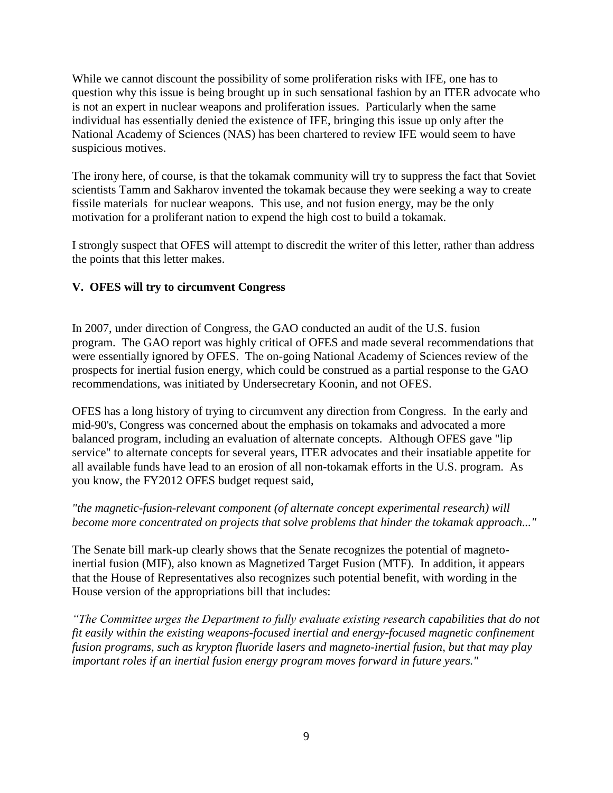While we cannot discount the possibility of some proliferation risks with IFE, one has to question why this issue is being brought up in such sensational fashion by an ITER advocate who is not an expert in nuclear weapons and proliferation issues. Particularly when the same individual has essentially denied the existence of IFE, bringing this issue up only after the National Academy of Sciences (NAS) has been chartered to review IFE would seem to have suspicious motives.

The irony here, of course, is that the tokamak community will try to suppress the fact that Soviet scientists Tamm and Sakharov invented the tokamak because they were seeking a way to create fissile materials for nuclear weapons. This use, and not fusion energy, may be the only motivation for a proliferant nation to expend the high cost to build a tokamak.

I strongly suspect that OFES will attempt to discredit the writer of this letter, rather than address the points that this letter makes.

# **V. OFES will try to circumvent Congress**

In 2007, under direction of Congress, the GAO conducted an audit of the U.S. fusion program. The GAO report was highly critical of OFES and made several recommendations that were essentially ignored by OFES. The on-going National Academy of Sciences review of the prospects for inertial fusion energy, which could be construed as a partial response to the GAO recommendations, was initiated by Undersecretary Koonin, and not OFES.

OFES has a long history of trying to circumvent any direction from Congress. In the early and mid-90's, Congress was concerned about the emphasis on tokamaks and advocated a more balanced program, including an evaluation of alternate concepts. Although OFES gave "lip service" to alternate concepts for several years, ITER advocates and their insatiable appetite for all available funds have lead to an erosion of all non-tokamak efforts in the U.S. program. As you know, the FY2012 OFES budget request said,

## *"the magnetic-fusion-relevant component (of alternate concept experimental research) will become more concentrated on projects that solve problems that hinder the tokamak approach..."*

The Senate bill mark-up clearly shows that the Senate recognizes the potential of magnetoinertial fusion (MIF), also known as Magnetized Target Fusion (MTF). In addition, it appears that the House of Representatives also recognizes such potential benefit, with wording in the House version of the appropriations bill that includes:

*"The Committee urges the Department to fully evaluate existing research capabilities that do not fit easily within the existing weapons-focused inertial and energy-focused magnetic confinement fusion programs, such as krypton fluoride lasers and magneto-inertial fusion, but that may play important roles if an inertial fusion energy program moves forward in future years."*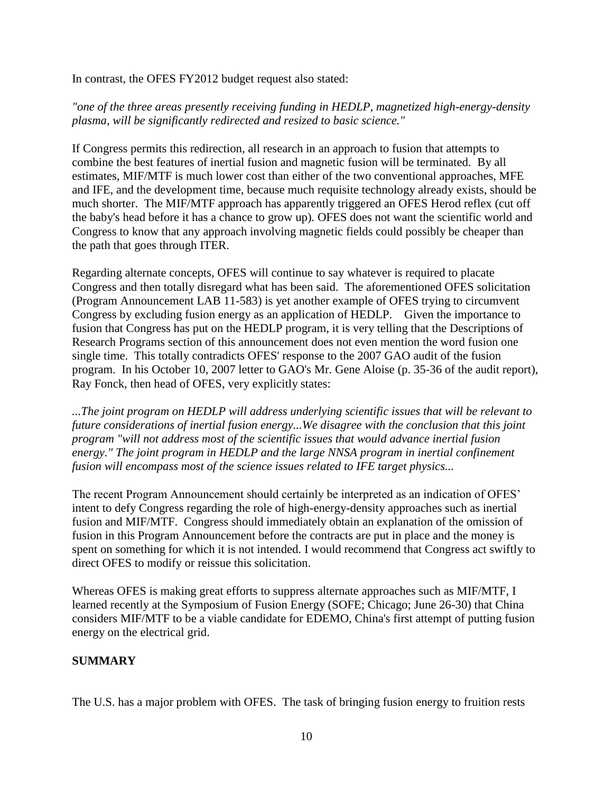In contrast, the OFES FY2012 budget request also stated:

## *"one of the three areas presently receiving funding in HEDLP, magnetized high-energy-density plasma, will be significantly redirected and resized to basic science."*

If Congress permits this redirection, all research in an approach to fusion that attempts to combine the best features of inertial fusion and magnetic fusion will be terminated. By all estimates, MIF/MTF is much lower cost than either of the two conventional approaches, MFE and IFE, and the development time, because much requisite technology already exists, should be much shorter. The MIF/MTF approach has apparently triggered an OFES Herod reflex (cut off the baby's head before it has a chance to grow up). OFES does not want the scientific world and Congress to know that any approach involving magnetic fields could possibly be cheaper than the path that goes through ITER.

Regarding alternate concepts, OFES will continue to say whatever is required to placate Congress and then totally disregard what has been said. The aforementioned OFES solicitation (Program Announcement LAB 11-583) is yet another example of OFES trying to circumvent Congress by excluding fusion energy as an application of HEDLP. Given the importance to fusion that Congress has put on the HEDLP program, it is very telling that the Descriptions of Research Programs section of this announcement does not even mention the word fusion one single time. This totally contradicts OFES' response to the 2007 GAO audit of the fusion program. In his October 10, 2007 letter to GAO's Mr. Gene Aloise (p. 35-36 of the audit report), Ray Fonck, then head of OFES, very explicitly states:

*...The joint program on HEDLP will address underlying scientific issues that will be relevant to future considerations of inertial fusion energy...We disagree with the conclusion that this joint program "will not address most of the scientific issues that would advance inertial fusion energy." The joint program in HEDLP and the large NNSA program in inertial confinement fusion will encompass most of the science issues related to IFE target physics...*

The recent Program Announcement should certainly be interpreted as an indication of OFES' intent to defy Congress regarding the role of high-energy-density approaches such as inertial fusion and MIF/MTF. Congress should immediately obtain an explanation of the omission of fusion in this Program Announcement before the contracts are put in place and the money is spent on something for which it is not intended. I would recommend that Congress act swiftly to direct OFES to modify or reissue this solicitation.

Whereas OFES is making great efforts to suppress alternate approaches such as MIF/MTF, I learned recently at the Symposium of Fusion Energy (SOFE; Chicago; June 26-30) that China considers MIF/MTF to be a viable candidate for EDEMO, China's first attempt of putting fusion energy on the electrical grid.

## **SUMMARY**

The U.S. has a major problem with OFES. The task of bringing fusion energy to fruition rests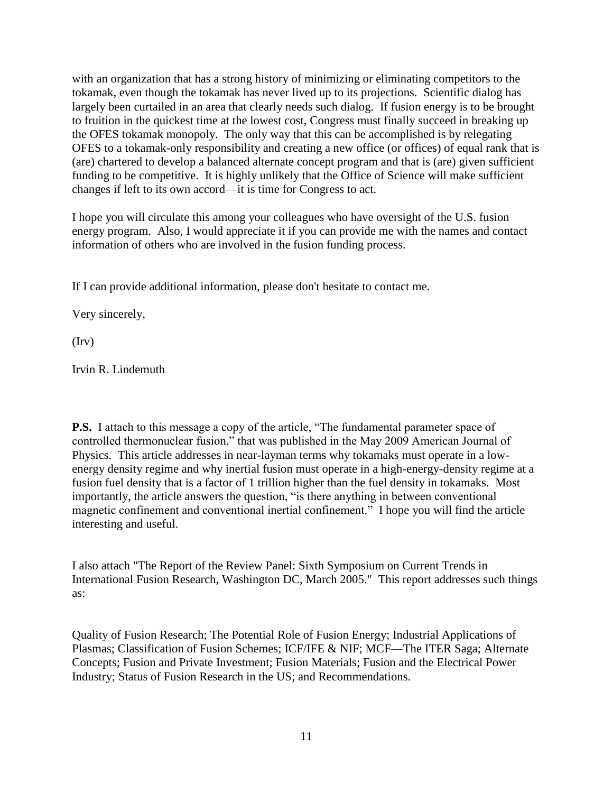with an organization that has a strong history of minimizing or eliminating competitors to the tokamak, even though the tokamak has never lived up to its projections. Scientific dialog has largely been curtailed in an area that clearly needs such dialog. If fusion energy is to be brought to fruition in the quickest time at the lowest cost, Congress must finally succeed in breaking up the OFES tokamak monopoly. The only way that this can be accomplished is by relegating OFES to a tokamak-only responsibility and creating a new office (or offices) of equal rank that is (are) chartered to develop a balanced alternate concept program and that is (are) given sufficient funding to be competitive. It is highly unlikely that the Office of Science will make sufficient changes if left to its own accord—it is time for Congress to act.

I hope you will circulate this among your colleagues who have oversight of the U.S. fusion energy program. Also, I would appreciate it if you can provide me with the names and contact information of others who are involved in the fusion funding process.

If I can provide additional information, please don't hesitate to contact me.

Very sincerely,

(Irv)

Irvin R. Lindemuth

**P.S.** I attach to this message a copy of the article, "The fundamental parameter space of controlled thermonuclear fusion," that was published in the May 2009 American Journal of Physics. This article addresses in near-layman terms why tokamaks must operate in a lowenergy density regime and why inertial fusion must operate in a high-energy-density regime at a fusion fuel density that is a factor of 1 trillion higher than the fuel density in tokamaks. Most importantly, the article answers the question, "is there anything in between conventional magnetic confinement and conventional inertial confinement." I hope you will find the article interesting and useful.

I also attach "The Report of the Review Panel: Sixth Symposium on Current Trends in International Fusion Research, Washington DC, March 2005." This report addresses such things as:

Quality of Fusion Research; The Potential Role of Fusion Energy; Industrial Applications of Plasmas; Classification of Fusion Schemes; ICF/IFE & NIF; MCF—The ITER Saga; Alternate Concepts; Fusion and Private Investment; Fusion Materials; Fusion and the Electrical Power Industry; Status of Fusion Research in the US; and Recommendations.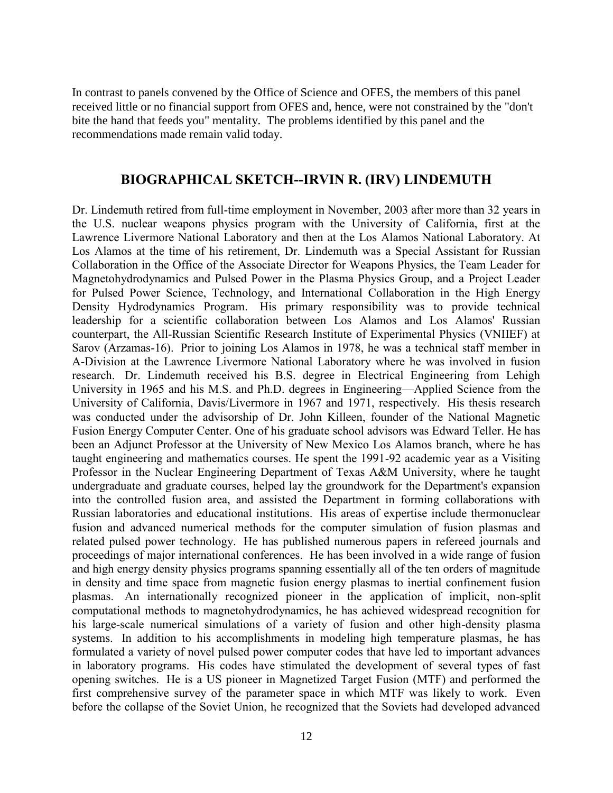In contrast to panels convened by the Office of Science and OFES, the members of this panel received little or no financial support from OFES and, hence, were not constrained by the "don't bite the hand that feeds you" mentality. The problems identified by this panel and the recommendations made remain valid today.

#### **BIOGRAPHICAL SKETCH--IRVIN R. (IRV) LINDEMUTH**

Dr. Lindemuth retired from full-time employment in November, 2003 after more than 32 years in the U.S. nuclear weapons physics program with the University of California, first at the Lawrence Livermore National Laboratory and then at the Los Alamos National Laboratory. At Los Alamos at the time of his retirement, Dr. Lindemuth was a Special Assistant for Russian Collaboration in the Office of the Associate Director for Weapons Physics, the Team Leader for Magnetohydrodynamics and Pulsed Power in the Plasma Physics Group, and a Project Leader for Pulsed Power Science, Technology, and International Collaboration in the High Energy Density Hydrodynamics Program. His primary responsibility was to provide technical leadership for a scientific collaboration between Los Alamos and Los Alamos' Russian counterpart, the All-Russian Scientific Research Institute of Experimental Physics (VNIIEF) at Sarov (Arzamas-16). Prior to joining Los Alamos in 1978, he was a technical staff member in A-Division at the Lawrence Livermore National Laboratory where he was involved in fusion research. Dr. Lindemuth received his B.S. degree in Electrical Engineering from Lehigh University in 1965 and his M.S. and Ph.D. degrees in Engineering—Applied Science from the University of California, Davis/Livermore in 1967 and 1971, respectively. His thesis research was conducted under the advisorship of Dr. John Killeen, founder of the National Magnetic Fusion Energy Computer Center. One of his graduate school advisors was Edward Teller. He has been an Adjunct Professor at the University of New Mexico Los Alamos branch, where he has taught engineering and mathematics courses. He spent the 1991-92 academic year as a Visiting Professor in the Nuclear Engineering Department of Texas A&M University, where he taught undergraduate and graduate courses, helped lay the groundwork for the Department's expansion into the controlled fusion area, and assisted the Department in forming collaborations with Russian laboratories and educational institutions. His areas of expertise include thermonuclear fusion and advanced numerical methods for the computer simulation of fusion plasmas and related pulsed power technology. He has published numerous papers in refereed journals and proceedings of major international conferences. He has been involved in a wide range of fusion and high energy density physics programs spanning essentially all of the ten orders of magnitude in density and time space from magnetic fusion energy plasmas to inertial confinement fusion plasmas. An internationally recognized pioneer in the application of implicit, non-split computational methods to magnetohydrodynamics, he has achieved widespread recognition for his large-scale numerical simulations of a variety of fusion and other high-density plasma systems. In addition to his accomplishments in modeling high temperature plasmas, he has formulated a variety of novel pulsed power computer codes that have led to important advances in laboratory programs. His codes have stimulated the development of several types of fast opening switches. He is a US pioneer in Magnetized Target Fusion (MTF) and performed the first comprehensive survey of the parameter space in which MTF was likely to work. Even before the collapse of the Soviet Union, he recognized that the Soviets had developed advanced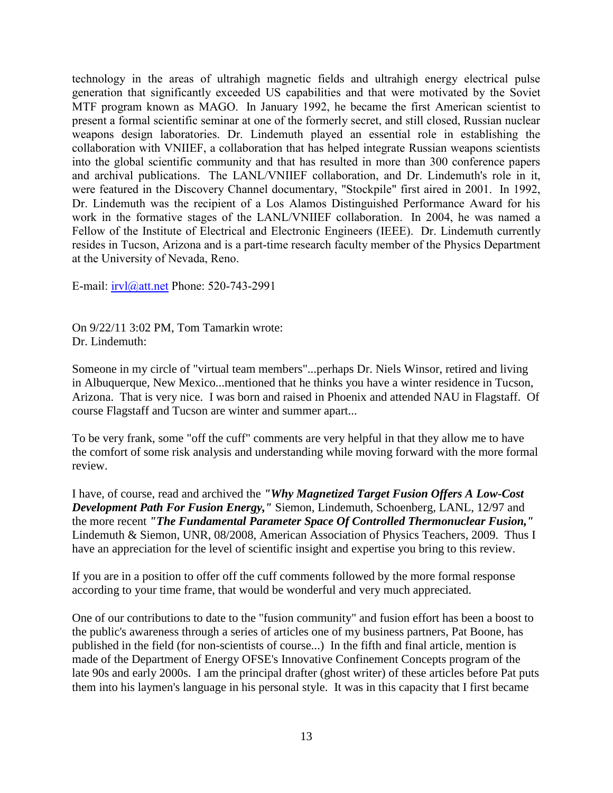technology in the areas of ultrahigh magnetic fields and ultrahigh energy electrical pulse generation that significantly exceeded US capabilities and that were motivated by the Soviet MTF program known as MAGO. In January 1992, he became the first American scientist to present a formal scientific seminar at one of the formerly secret, and still closed, Russian nuclear weapons design laboratories. Dr. Lindemuth played an essential role in establishing the collaboration with VNIIEF, a collaboration that has helped integrate Russian weapons scientists into the global scientific community and that has resulted in more than 300 conference papers and archival publications. The LANL/VNIIEF collaboration, and Dr. Lindemuth's role in it, were featured in the Discovery Channel documentary, "Stockpile" first aired in 2001. In 1992, Dr. Lindemuth was the recipient of a Los Alamos Distinguished Performance Award for his work in the formative stages of the LANL/VNIIEF collaboration. In 2004, he was named a Fellow of the Institute of Electrical and Electronic Engineers (IEEE). Dr. Lindemuth currently resides in Tucson, Arizona and is a part-time research faculty member of the Physics Department at the University of Nevada, Reno.

E-mail: [irvl@att.net](mailto:irvl@att.net) Phone: 520-743-2991

On 9/22/11 3:02 PM, Tom Tamarkin wrote: Dr. Lindemuth:

Someone in my circle of "virtual team members"...perhaps Dr. Niels Winsor, retired and living in Albuquerque, New Mexico...mentioned that he thinks you have a winter residence in Tucson, Arizona. That is very nice. I was born and raised in Phoenix and attended NAU in Flagstaff. Of course Flagstaff and Tucson are winter and summer apart...

To be very frank, some "off the cuff" comments are very helpful in that they allow me to have the comfort of some risk analysis and understanding while moving forward with the more formal review.

I have, of course, read and archived the *"Why Magnetized Target Fusion Offers A Low-Cost Development Path For Fusion Energy,"* Siemon, Lindemuth, Schoenberg, LANL, 12/97 and the more recent *"The Fundamental Parameter Space Of Controlled Thermonuclear Fusion,"* Lindemuth & Siemon, UNR, 08/2008, American Association of Physics Teachers, 2009. Thus I have an appreciation for the level of scientific insight and expertise you bring to this review.

If you are in a position to offer off the cuff comments followed by the more formal response according to your time frame, that would be wonderful and very much appreciated.

One of our contributions to date to the "fusion community" and fusion effort has been a boost to the public's awareness through a series of articles one of my business partners, Pat Boone, has published in the field (for non-scientists of course...) In the fifth and final article, mention is made of the Department of Energy OFSE's Innovative Confinement Concepts program of the late 90s and early 2000s. I am the principal drafter (ghost writer) of these articles before Pat puts them into his laymen's language in his personal style. It was in this capacity that I first became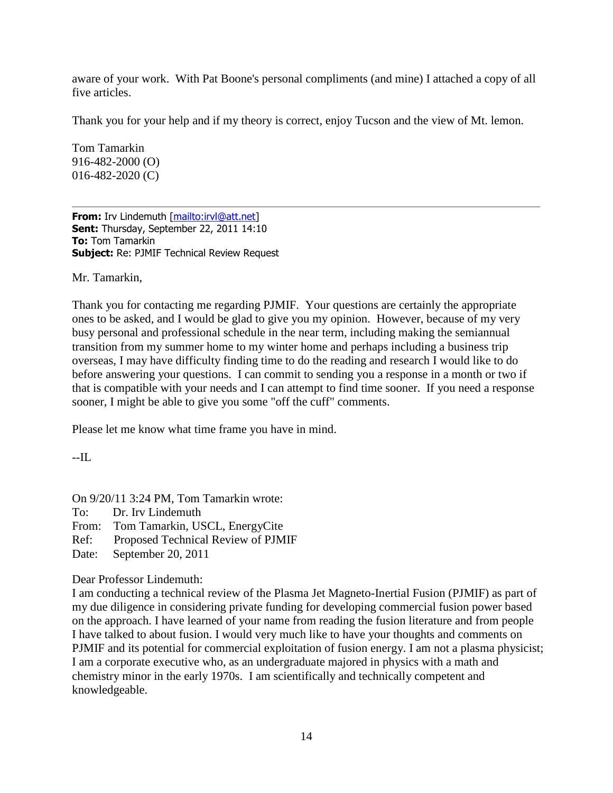aware of your work. With Pat Boone's personal compliments (and mine) I attached a copy of all five articles.

Thank you for your help and if my theory is correct, enjoy Tucson and the view of Mt. lemon.

Tom Tamarkin 916-482-2000 (O) 016-482-2020 (C)

**From:** Irv Lindemuth [\[mailto:irvl@att.net\]](mailto:irvl@att.net) **Sent:** Thursday, September 22, 2011 14:10 **To:** Tom Tamarkin **Subject:** Re: PJMIF Technical Review Request

Mr. Tamarkin,

Thank you for contacting me regarding PJMIF. Your questions are certainly the appropriate ones to be asked, and I would be glad to give you my opinion. However, because of my very busy personal and professional schedule in the near term, including making the semiannual transition from my summer home to my winter home and perhaps including a business trip overseas, I may have difficulty finding time to do the reading and research I would like to do before answering your questions. I can commit to sending you a response in a month or two if that is compatible with your needs and I can attempt to find time sooner. If you need a response sooner, I might be able to give you some "off the cuff" comments.

Please let me know what time frame you have in mind.

--IL

On 9/20/11 3:24 PM, Tom Tamarkin wrote:

To: Dr. Irv Lindemuth

From: Tom Tamarkin, USCL, EnergyCite

Ref: Proposed Technical Review of PJMIF

Date: September 20, 2011

Dear Professor Lindemuth:

I am conducting a technical review of the Plasma Jet Magneto-Inertial Fusion (PJMIF) as part of my due diligence in considering private funding for developing commercial fusion power based on the approach. I have learned of your name from reading the fusion literature and from people I have talked to about fusion. I would very much like to have your thoughts and comments on PJMIF and its potential for commercial exploitation of fusion energy. I am not a plasma physicist; I am a corporate executive who, as an undergraduate majored in physics with a math and chemistry minor in the early 1970s. I am scientifically and technically competent and knowledgeable.